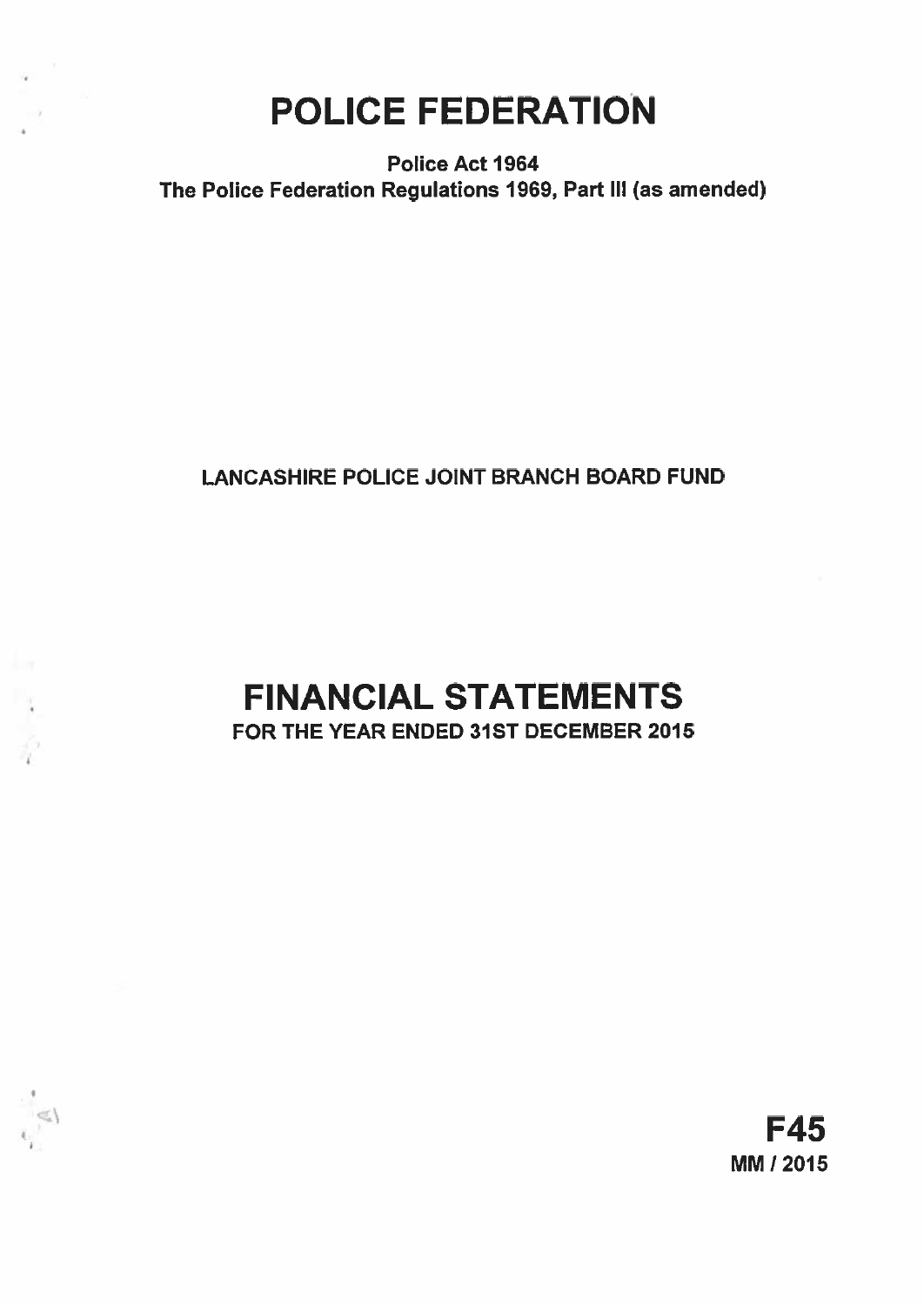# POLICE FEDERATION

Police Act 1964 The Police Federation Regulations 1969, Part Ill (as amended)

# LANCASHIRE POLICE JOINT BRANCH BOARD FUND

# FINANCIAL STATEMENTS FOR THE YEAR ENDED 31ST DECEMBER 2015

F45 MM! 2015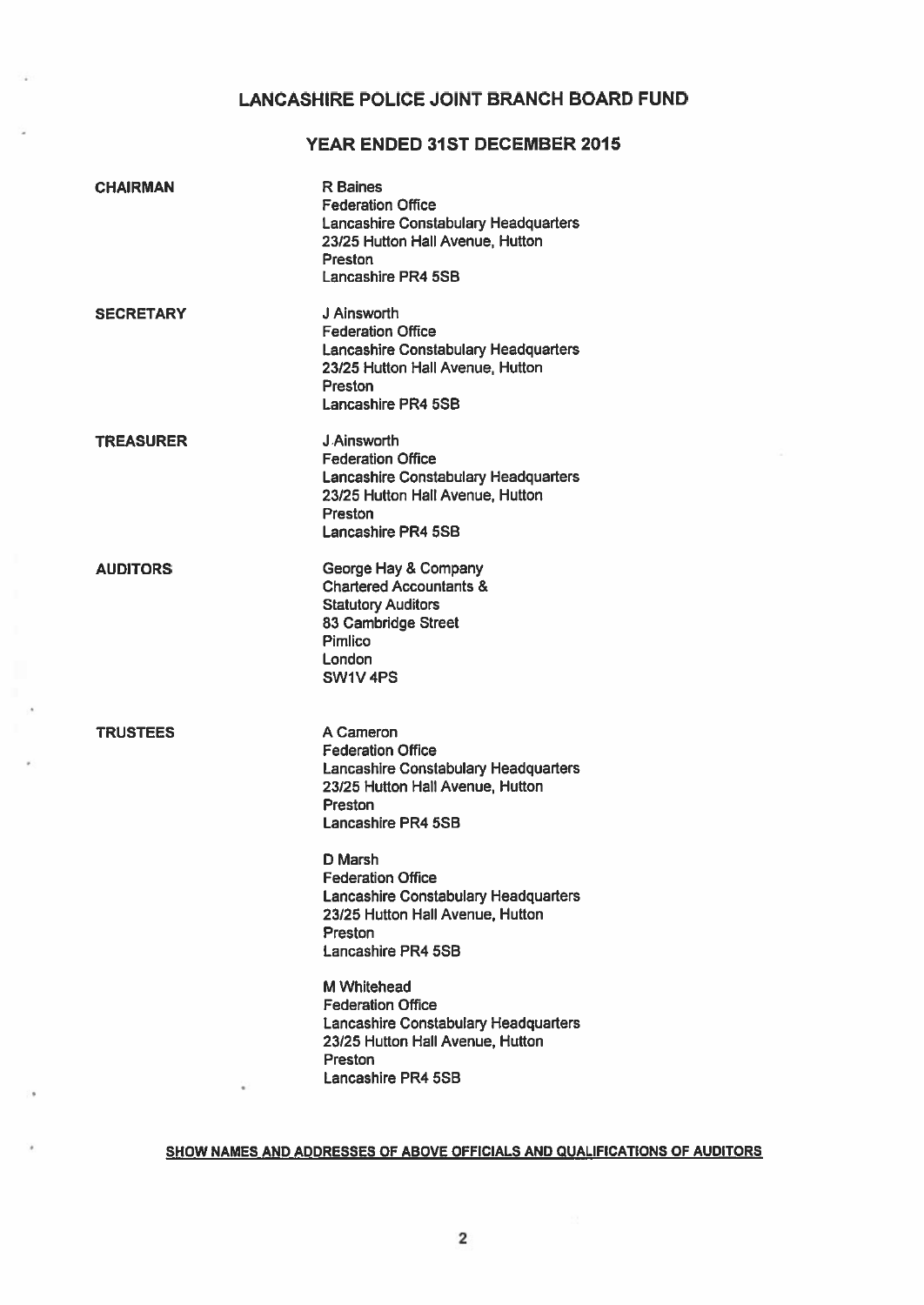# LANCASHIRE POLICE JOINT BRANCH BOARD FUND

# YEAR ENDED 31ST DECEMBER 2015

| <b>CHAIRMAN</b>  | <b>R</b> Baines<br><b>Federation Office</b><br>Lancashire Constabulary Headquarters<br>23/25 Hutton Hall Avenue, Hutton<br>Preston<br>Lancashire PR4 5SB                                                                                                                                               |
|------------------|--------------------------------------------------------------------------------------------------------------------------------------------------------------------------------------------------------------------------------------------------------------------------------------------------------|
| <b>SECRETARY</b> | J Ainsworth<br><b>Federation Office</b><br><b>Lancashire Constabulary Headquarters</b><br>23/25 Hutton Hall Avenue, Hutton<br>Preston<br>Lancashire PR4 5SB                                                                                                                                            |
| <b>TREASURER</b> | <b>J.Ainsworth</b><br><b>Federation Office</b><br><b>Lancashire Constabulary Headquarters</b><br>23/25 Hutton Hall Avenue, Hutton<br>Preston<br>Lancashire PR4 5SB                                                                                                                                     |
| <b>AUDITORS</b>  | George Hay & Company<br><b>Chartered Accountants &amp;</b><br><b>Statutory Auditors</b><br>83 Cambridge Street<br>Pimlico<br>London<br>SW1V4PS                                                                                                                                                         |
| <b>TRUSTEES</b>  | A Cameron<br><b>Federation Office</b><br>Lancashire Constabulary Headquarters<br>23/25 Hutton Hall Avenue, Hutton<br>Preston<br>Lancashire PR4 5SB<br>D Marsh<br><b>Federation Office</b><br>Lancashire Constabulary Headquarters<br>23/25 Hutton Hall Avenue, Hutton<br>Preston<br>Lancashire PR4 5SB |
|                  | <b>M</b> Whitehead<br><b>Federation Office</b><br>Lancashire Constabulary Headquarters<br>23/25 Hutton Hall Avenue, Hutton<br>Preston<br>Lancashire PR4 5SB                                                                                                                                            |

## SHOW NAMES AND ADDRESSES OF ABOVE OFFICIALS AND QUALIFICATIONS OF AUDITORS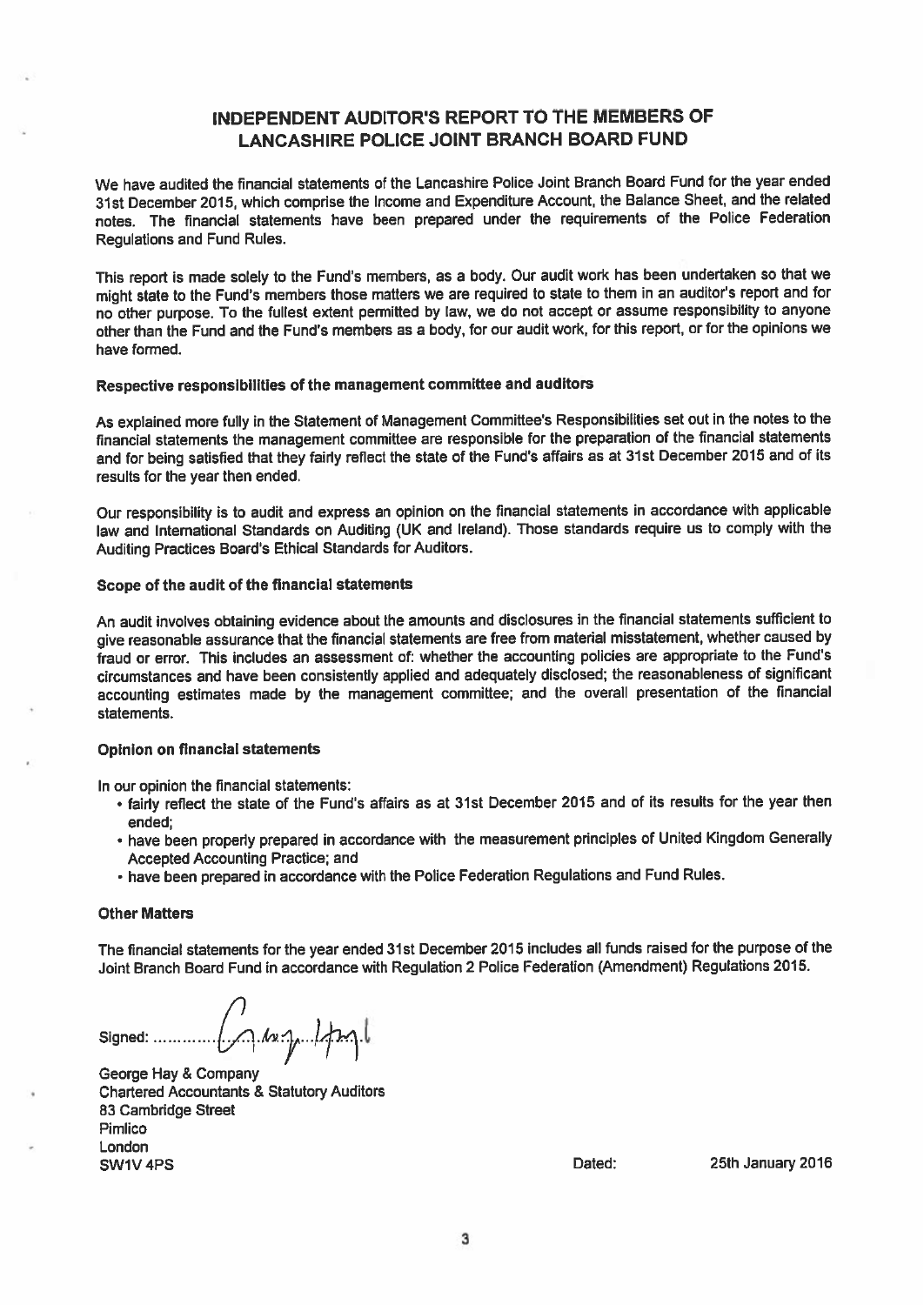# INDEPENDENT AUDITOR'S REPORT TO THE MEMBERS OF LANCASHIRE POLICE JOINT BRANCH BOARD FUND

We have audited the financial statements of the Lancashire Police Joint Branch Board Fund for the year ended 31st December <sup>2015</sup> which comprise the Income and Expenditure Account, the Balance Sheet, and the related notes. The financial statements have been prepare<sup>d</sup> under the requirements of the Police Federation Regulations and Fund Rules.

This repor<sup>t</sup> is made solely to the Fund's members, as <sup>a</sup> body. Our audit work has been undertaken so that we might state to the Fund's members those matters we are required to state to them in an auditor's repor<sup>t</sup> and for no other purpose. To the fullest extent permitted by law, we do not accep<sup>t</sup> or assume responsibility to anyone other than the Fund and the Fund's members as <sup>a</sup> body, for our audit work, for this report, or for the opinions we have formed.

### Respective responsibilities of the managemen<sup>t</sup> committee and auditors

As explained more fully in the Statement of Management Committee's Responsibilities set out in the notes to the financial statements the managemen<sup>t</sup> committee are responsible for the preparation of the financial statements and for being satisfied that they fairly reflect the state of the Fund's affairs as at 31st December <sup>2015</sup> and of its results for the year then ended.

Our responsibility is to audit and express an opinion on the financial statements in accordance with applicable law and International Standards on Auditing (UK and Ireland). Those standards require us to comply with the Auditing Practices Board's Ethical Standards for Auditors.

## Scope of the audit of the financial statements

An audit involves obtaining evidence about the amounts and disclosures in the financial statements sufficient to <sup>g</sup>ive reasonable assurance that the financial statements are free from material misstatement, whether caused by fraud or error. This includes an assessment of: whether the accounting policies are appropriate to the Fund's circumstances and have been consistently applied and adequately disclosed; the reasonableness of significant accounting estimates made by the managemen<sup>t</sup> committee; and the overall presentation of the financial statements.

## Opinion on financial statements

In our opinion the financial statements:

- fairly reflect the state of the Fund's affairs as at 31st December <sup>2015</sup> and of its results for the year then ended;
- have been properly prepare<sup>d</sup> in accordance with the measurement principles of United Kingdom Generally Accepted Accounting Practice; and
- have been prepare<sup>d</sup> in accordance with the Police Federation Regulations and Fund Rules.

#### Other Matters

The financial statements for the year ended 31st December <sup>2015</sup> includes all funds raised for the purpose of the Joint Branch Board Fund in accordance with Regulation <sup>2</sup> Police Federation (Amendment) Regulations 2015.

 $\frac{1}{2}$  127.1/27.1 Signed: ............

George Hay & Company Chartered Accountants & Statutory Auditors 83 Cambridge Street Pimlico London SW1V4PS **Dated:** 25th January 2016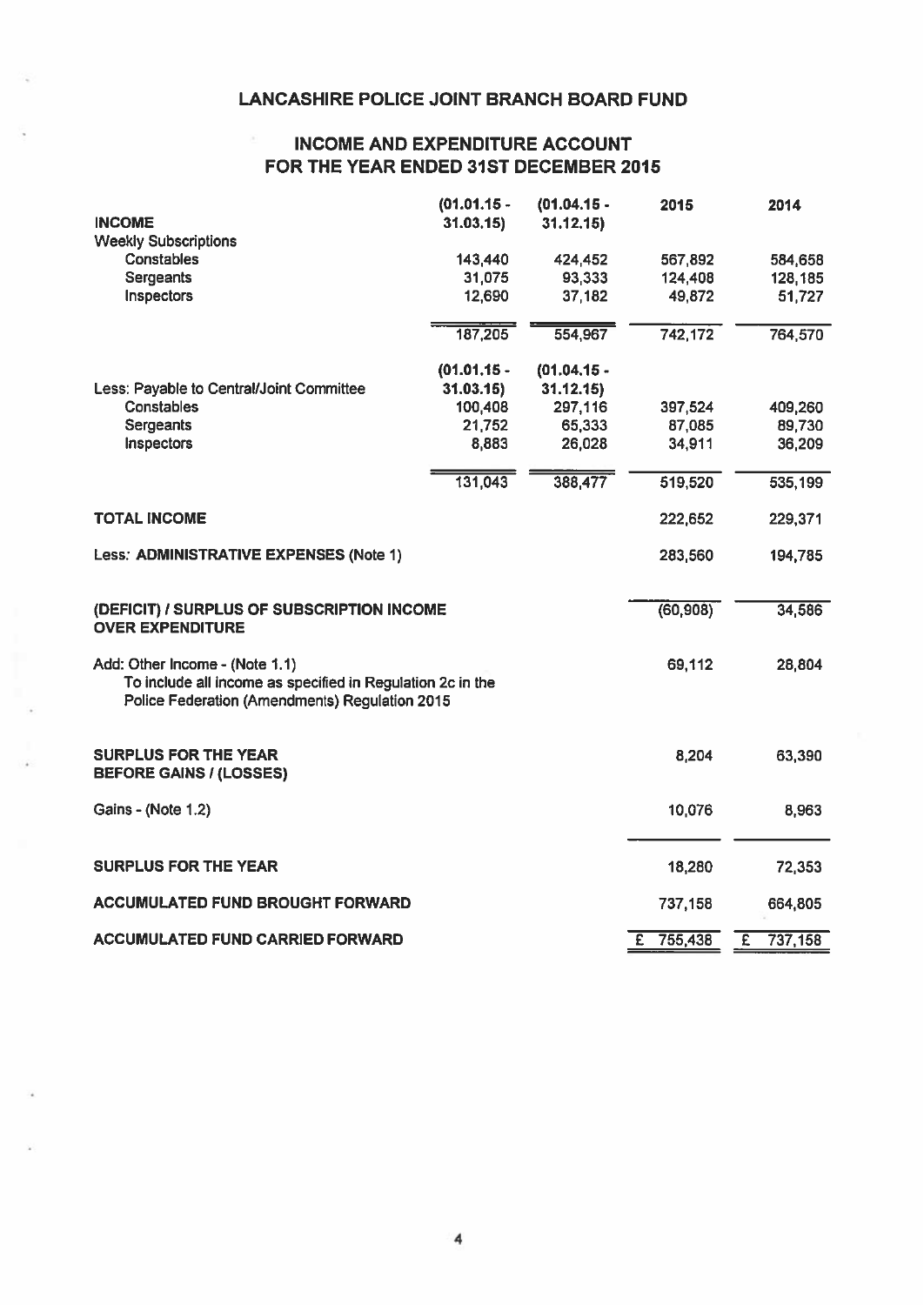# INCOME AND EXPENDITURE ACCOUNT FOR THE YEAR ENDED 31ST DECEMBER 2015

 $\langle \phi \rangle$ 

|                                                                                                                                                | $(01.01.15 -$ | $(01.04.15 -$ | 2015         | 2014                             |
|------------------------------------------------------------------------------------------------------------------------------------------------|---------------|---------------|--------------|----------------------------------|
| <b>INCOME</b>                                                                                                                                  | 31.03.15      | 31.12.15      |              |                                  |
| <b>Weekly Subscriptions</b>                                                                                                                    |               |               |              |                                  |
| <b>Constables</b>                                                                                                                              | 143,440       | 424,452       | 567,892      | 584,658                          |
| <b>Sergeants</b>                                                                                                                               | 31,075        | 93,333        | 124,408      | 128,185                          |
| Inspectors                                                                                                                                     | 12,690        | 37,182        | 49,872       | 51,727                           |
|                                                                                                                                                | 187,205       | 554,967       | 742,172      | 764,570                          |
|                                                                                                                                                | $(01.01.15 -$ | $(01.04.15 -$ |              |                                  |
| Less: Payable to Central/Joint Committee                                                                                                       | 31.03.15      | 31.12.15)     |              |                                  |
| Constables                                                                                                                                     | 100,408       | 297,116       | 397,524      | 409,260                          |
| Sergeants                                                                                                                                      | 21,752        | 65,333        | 87,085       | 89,730                           |
| Inspectors                                                                                                                                     | 8,883         | 26,028        | 34,911       | 36,209                           |
|                                                                                                                                                | 131,043       | 388,477       | 519,520      | 535,199                          |
|                                                                                                                                                |               |               |              |                                  |
| TOTAL INCOME                                                                                                                                   |               |               | 222,652      | 229,371                          |
| Less: ADMINISTRATIVE EXPENSES (Note 1)                                                                                                         |               |               | 283,560      | 194,785                          |
| (DEFICIT) / SURPLUS OF SUBSCRIPTION INCOME                                                                                                     |               |               | (60, 908)    | 34,586                           |
| <b>OVER EXPENDITURE</b>                                                                                                                        |               |               |              |                                  |
| Add: Other Income - (Note 1.1)<br>To include all income as specified in Regulation 2c in the<br>Police Federation (Amendments) Regulation 2015 |               |               | 69,112       | 28,804                           |
| <b>SURPLUS FOR THE YEAR</b><br><b>BEFORE GAINS / (LOSSES)</b>                                                                                  |               |               | 8,204        | 63,390                           |
| Gains - (Note 1.2)                                                                                                                             |               |               | 10,076       | 8,963                            |
| <b>SURPLUS FOR THE YEAR</b>                                                                                                                    |               |               | 18,280       | 72,353                           |
| <b>ACCUMULATED FUND BROUGHT FORWARD</b>                                                                                                        |               |               | 737,158      | 664,805                          |
| <b>ACCUMULATED FUND CARRIED FORWARD</b>                                                                                                        |               |               | £<br>755,438 | $\overline{\epsilon}$<br>737,158 |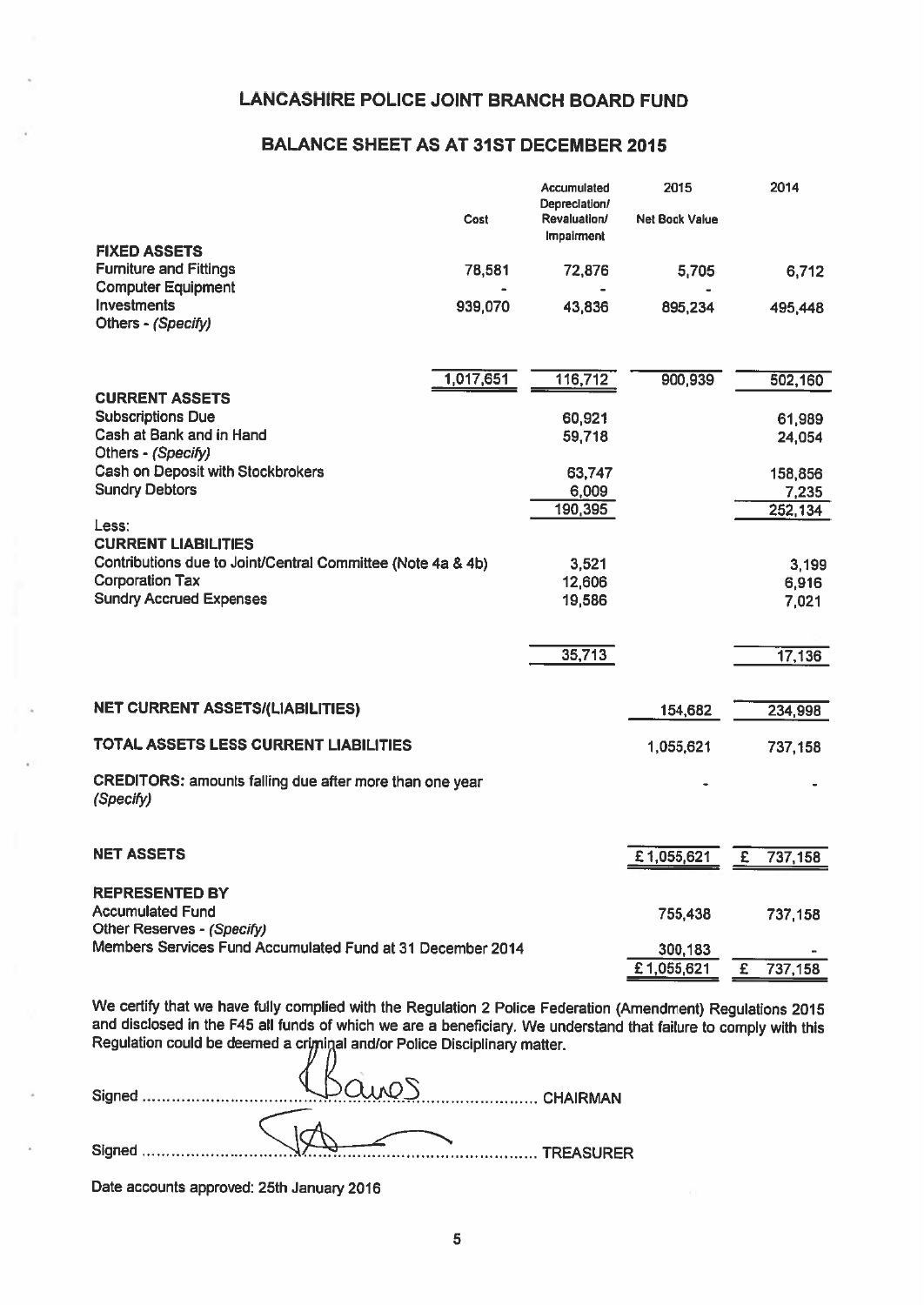## BALANCE SHEET AS AT 31ST DECEMBER 2015

|                                                                                       | Cost      | Accumulated<br>Depreclation/<br>Revaluation/<br><b>Impairment</b> | 2015<br><b>Net Book Value</b> | 2014                               |
|---------------------------------------------------------------------------------------|-----------|-------------------------------------------------------------------|-------------------------------|------------------------------------|
| <b>FIXED ASSETS</b>                                                                   |           |                                                                   |                               |                                    |
| <b>Furniture and Fittings</b>                                                         | 78,581    | 72,876                                                            | 5,705                         | 6,712                              |
| <b>Computer Equipment</b>                                                             |           |                                                                   |                               |                                    |
| <b>Investments</b><br>Others - (Specify)                                              | 939,070   | 43,836                                                            | 895,234                       | 495,448                            |
|                                                                                       |           |                                                                   |                               |                                    |
|                                                                                       |           |                                                                   |                               |                                    |
|                                                                                       | 1,017,651 | 116,712                                                           | 900,939                       | 502,160                            |
| <b>CURRENT ASSETS</b>                                                                 |           |                                                                   |                               |                                    |
| <b>Subscriptions Due</b><br>Cash at Bank and in Hand                                  |           | 60,921<br>59,718                                                  |                               | 61,989                             |
| Others - (Specify)                                                                    |           |                                                                   |                               | 24,054                             |
| Cash on Deposit with Stockbrokers                                                     |           | 63,747                                                            |                               | 158,856                            |
| <b>Sundry Debtors</b>                                                                 |           | 6,009                                                             |                               | 7,235                              |
|                                                                                       |           | 190,395                                                           |                               | 252,134                            |
| Less:                                                                                 |           |                                                                   |                               |                                    |
| <b>CURRENT LIABILITIES</b>                                                            |           |                                                                   |                               |                                    |
| Contributions due to Joint/Central Committee (Note 4a & 4b)<br><b>Corporation Tax</b> |           | 3,521<br>12,606                                                   |                               | 3,199<br>6,916                     |
| <b>Sundry Accrued Expenses</b>                                                        |           | 19,586                                                            |                               | 7,021                              |
|                                                                                       |           |                                                                   |                               |                                    |
|                                                                                       |           |                                                                   |                               |                                    |
|                                                                                       |           | 35,713                                                            |                               | 17,136                             |
| <b>NET CURRENT ASSETS/(LIABILITIES)</b>                                               |           |                                                                   | 154,682                       |                                    |
|                                                                                       |           |                                                                   |                               | 234,998                            |
| TOTAL ASSETS LESS CURRENT LIABILITIES                                                 |           |                                                                   | 1,055,621                     | 737,158                            |
| <b>CREDITORS: amounts falling due after more than one year</b><br>(Specify)           |           |                                                                   |                               |                                    |
|                                                                                       |           |                                                                   |                               |                                    |
| NET ASSETS                                                                            |           |                                                                   | £1,055,621                    | $\mathbf{E}$<br>737,158            |
| <b>REPRESENTED BY</b>                                                                 |           |                                                                   |                               |                                    |
| <b>Accumulated Fund</b>                                                               |           |                                                                   | 755,438                       | 737,158                            |
| Other Reserves - (Specify)                                                            |           |                                                                   |                               |                                    |
| Members Services Fund Accumulated Fund at 31 December 2014                            |           |                                                                   | 300,183                       |                                    |
|                                                                                       |           |                                                                   | £1,055,621                    | $\overline{\mathbf{f}}$<br>737,158 |

We certify that we have fully complied with the Regulation <sup>2</sup> Police Federation (Amendment) Regulations <sup>2015</sup> and disclosed in the F45 all funds of which we are <sup>a</sup> beneficiary. We understand that failure to comply with this Regulation could be deemed a criminal and/or Police Disciplinary matter.

Date accounts approved: 25th January <sup>2016</sup>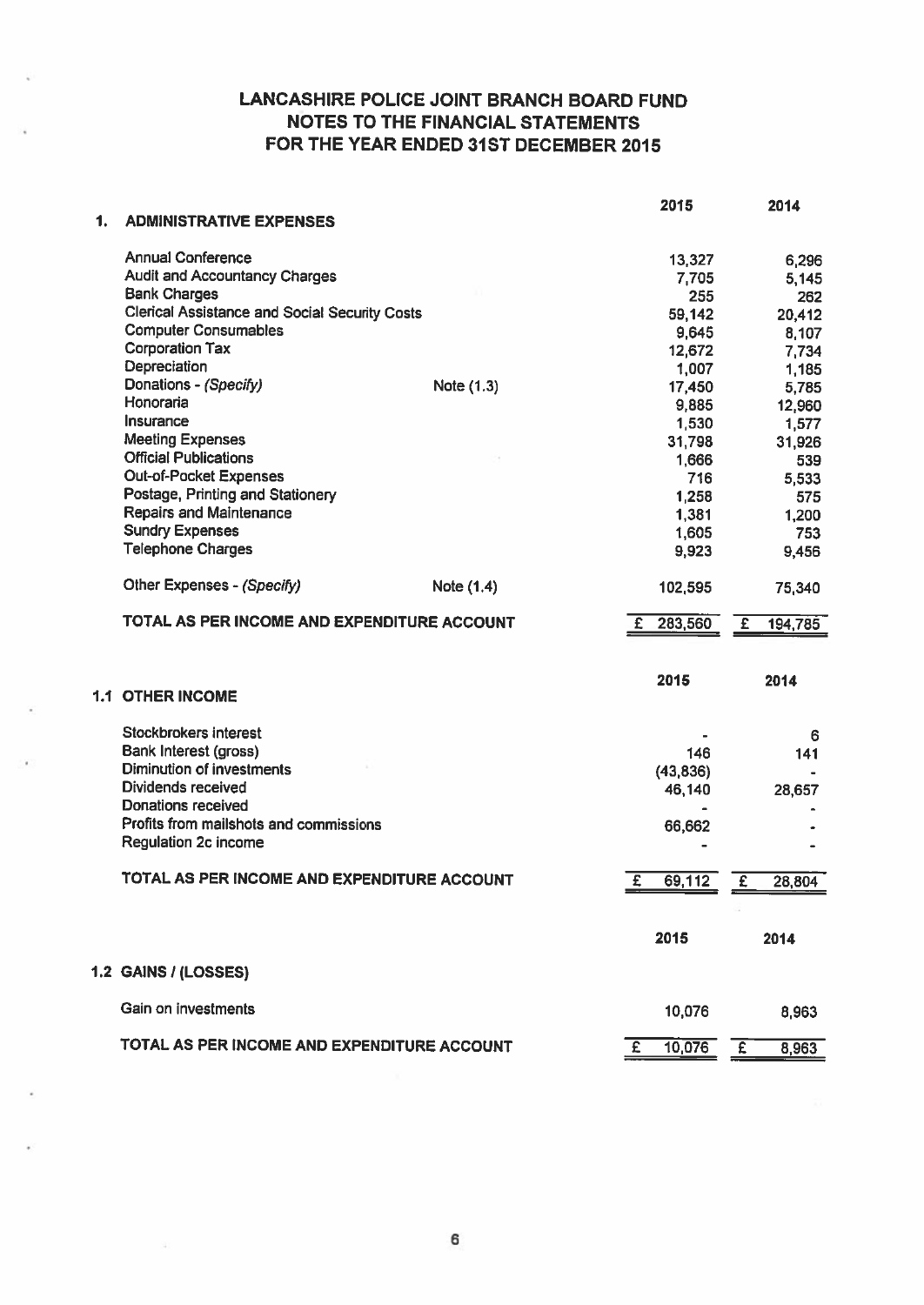|    |                                                      |            | 2015                     |                         | 2014    |
|----|------------------------------------------------------|------------|--------------------------|-------------------------|---------|
| 1. | <b>ADMINISTRATIVE EXPENSES</b>                       |            |                          |                         |         |
|    | <b>Annual Conference</b>                             |            | 13,327                   |                         | 6,296   |
|    | <b>Audit and Accountancy Charges</b>                 |            | 7,705                    |                         | 5,145   |
|    | <b>Bank Charges</b>                                  |            | 255                      |                         | 262     |
|    | <b>Clerical Assistance and Social Security Costs</b> |            | 59,142                   |                         | 20,412  |
|    | <b>Computer Consumables</b>                          |            | 9,645                    |                         | 8,107   |
|    | <b>Corporation Tax</b>                               |            | 12,672                   |                         | 7,734   |
|    | Depreciation                                         |            | 1,007                    |                         | 1,185   |
|    | Donations - (Specify)                                | Note (1.3) | 17,450                   |                         | 5,785   |
|    | Honoraria                                            |            | 9,885                    |                         | 12,960  |
|    | Insurance                                            |            | 1,530                    |                         | 1,577   |
|    | <b>Meeting Expenses</b>                              |            | 31,798                   |                         | 31,926  |
|    | <b>Official Publications</b>                         |            | 1,666                    |                         | 539     |
|    | <b>Out-of-Pocket Expenses</b>                        |            | 716                      |                         | 5,533   |
|    | Postage, Printing and Stationery                     |            | 1,258                    |                         | 575     |
|    | <b>Repairs and Maintenance</b>                       |            | 1,381                    |                         | 1,200   |
|    | <b>Sundry Expenses</b>                               |            | 1,605                    |                         | 753     |
|    | <b>Telephone Charges</b>                             |            | 9,923                    |                         | 9,456   |
|    | Other Expenses - (Specify)                           | Note (1.4) | 102,595                  |                         | 75,340  |
|    | TOTAL AS PER INCOME AND EXPENDITURE ACCOUNT          |            | 283,560                  | E                       | 194,785 |
|    |                                                      |            |                          |                         |         |
|    | <b>1.1 OTHER INCOME</b>                              |            | 2015                     |                         | 2014    |
|    | Stockbrokers interest                                |            |                          |                         | 6       |
|    | <b>Bank Interest (gross)</b>                         |            | 146                      |                         | 141     |
|    | <b>Diminution of investments</b>                     |            | (43, 836)                |                         |         |
|    | Dividends received                                   |            | 46,140                   |                         | 28,657  |
|    | Donations received                                   |            |                          |                         |         |
|    | Profits from mailshots and commissions               |            | 66,662                   |                         |         |
|    | <b>Regulation 2c income</b>                          |            | $\bullet$                |                         |         |
|    | TOTAL AS PER INCOME AND EXPENDITURE ACCOUNT          |            | $\overline{E}$<br>69,112 | $\overline{\mathbf{E}}$ | 28,804  |
|    |                                                      |            |                          |                         |         |
|    |                                                      |            | 2015                     |                         | 2014    |
|    | 1.2 GAINS / (LOSSES)                                 |            |                          |                         |         |
|    | Gain on investments                                  |            | 10,076                   |                         | 8,963   |
|    | TOTAL AS PER INCOME AND EXPENDITURE ACCOUNT          |            | 10,076<br>£              | $\overline{\mathbf{f}}$ | 8,963   |
|    |                                                      |            |                          |                         |         |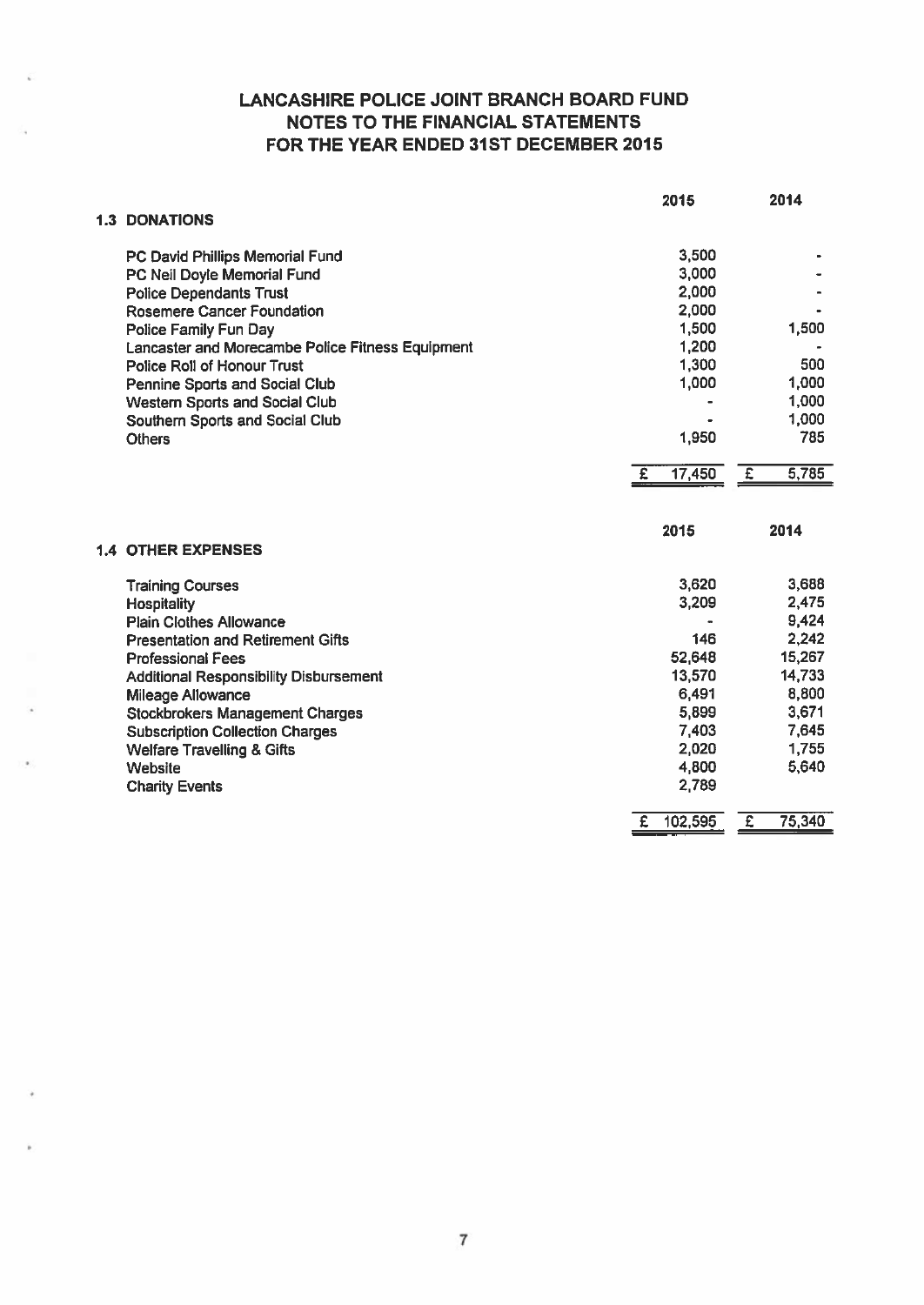|                                                      | 2015        | 2014       |
|------------------------------------------------------|-------------|------------|
| <b>1.3 DONATIONS</b>                                 |             |            |
| PC David Phillips Memorial Fund                      | 3,500       |            |
| PC Neil Doyle Memorial Fund                          | 3,000       |            |
| <b>Police Dependants Trust</b>                       | 2,000       |            |
| <b>Rosemere Cancer Foundation</b>                    | 2,000       |            |
| Police Family Fun Day                                | 1,500       | 1,500      |
| Lancaster and Morecambe Police Fitness Equipment     | 1,200       |            |
| <b>Police Roll of Honour Trust</b>                   | 1,300       | 500        |
| Pennine Sports and Social Club                       | 1,000       | 1,000      |
| <b>Western Sports and Social Club</b>                |             | 1,000      |
| Southern Sports and Social Club                      |             | 1,000      |
| <b>Others</b>                                        | 1,950       | 785        |
|                                                      | 17,450<br>£ | 5,785<br>E |
|                                                      |             |            |
|                                                      |             |            |
|                                                      |             | 2014       |
| <b>1.4 OTHER EXPENSES</b>                            | 2015        |            |
|                                                      | 3,620       | 3,688      |
| <b>Training Courses</b>                              | 3,209       | 2,475      |
| <b>Hospitality</b><br><b>Plain Clothes Allowance</b> |             | 9,424      |
| <b>Presentation and Retirement Gifts</b>             | 146         | 2,242      |
| <b>Professional Fees</b>                             | 52,648      | 15,267     |
| <b>Additional Responsibility Disbursement</b>        | 13,570      | 14,733     |
| Mileage Allowance                                    | 6,491       | 8,800      |
| <b>Stockbrokers Management Charges</b>               | 5,899       | 3,671      |
| <b>Subscription Collection Charges</b>               | 7,403       | 7,645      |
| <b>Welfare Travelling &amp; Gifts</b>                | 2,020       | 1,755      |
| Website                                              | 4,800       | 5,640      |
| <b>Charity Events</b>                                | 2,789       |            |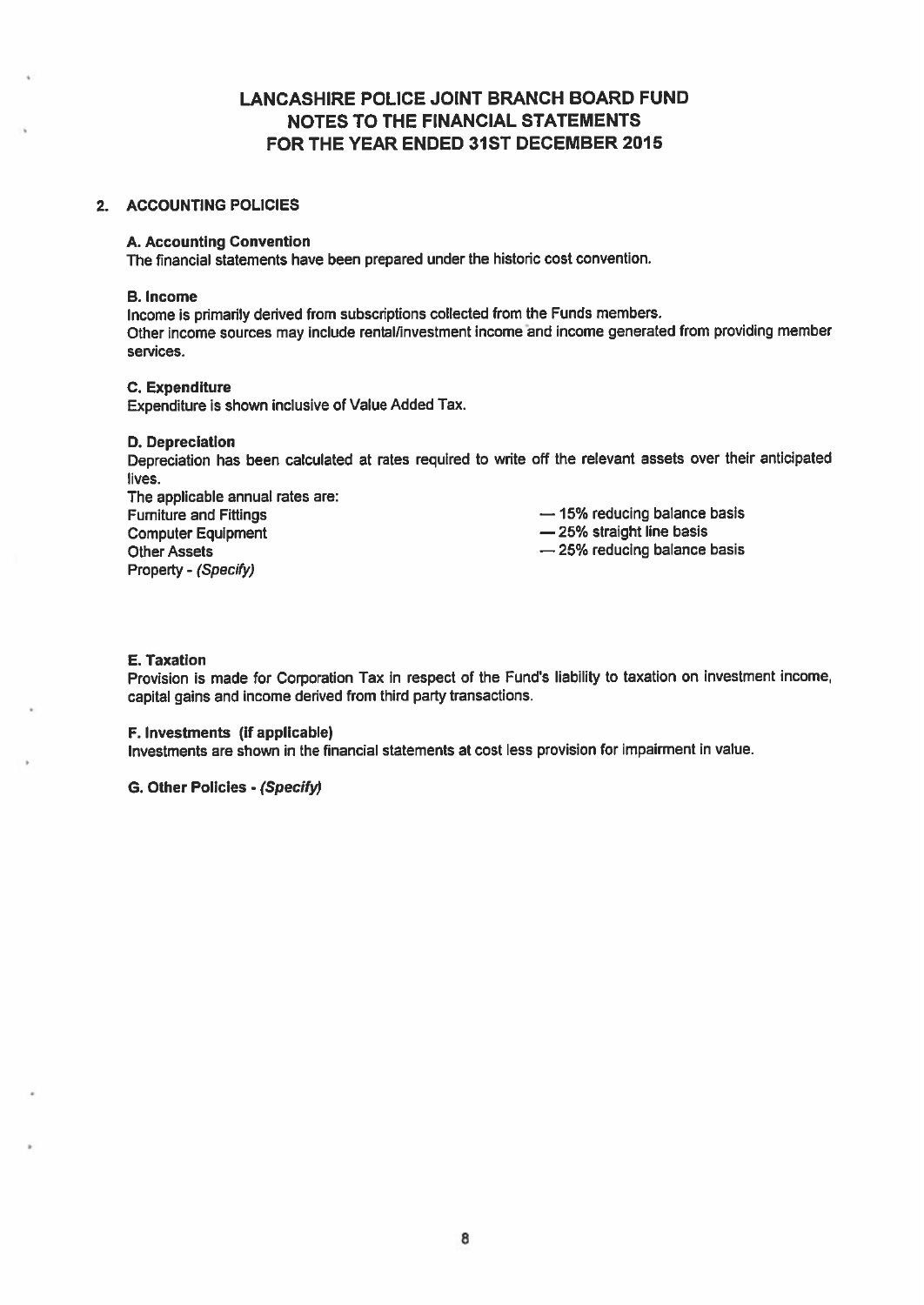## 2. ACCOUNTING POLICIES

## A. Accounting Convention

The financial statements have been prepare<sup>d</sup> under the historic cost convention.

## B. Income

Income is primarily derived from subscriptions collected from the Funds members. Other income sources may include rental/investment income and income generated from providing member services.

## C. Expenditure

Expenditure is shown inclusive of Value Added Tax.

### D. DeprecIation

Depreciation has been calculated at rates required to write off the relevant assets over their anticipated lives.

The applicable annual rates are: Furniture and Fittings — 15% reducing balance basis Computer Equipment **25%** straight line basis Other Assets **EXECUTE:** 25% reducing balance basis Property - (Specify)

## E. Taxation

Provision is made for Corporation Tax in respect of the Fund's liability to taxation on investment income, capital gains and income derived from third party transactions.

## F. Investments (if applicable)

Investments are shown in the financial statements at cost less provision for impairment in value.

G. Other PolIcies - (Specify)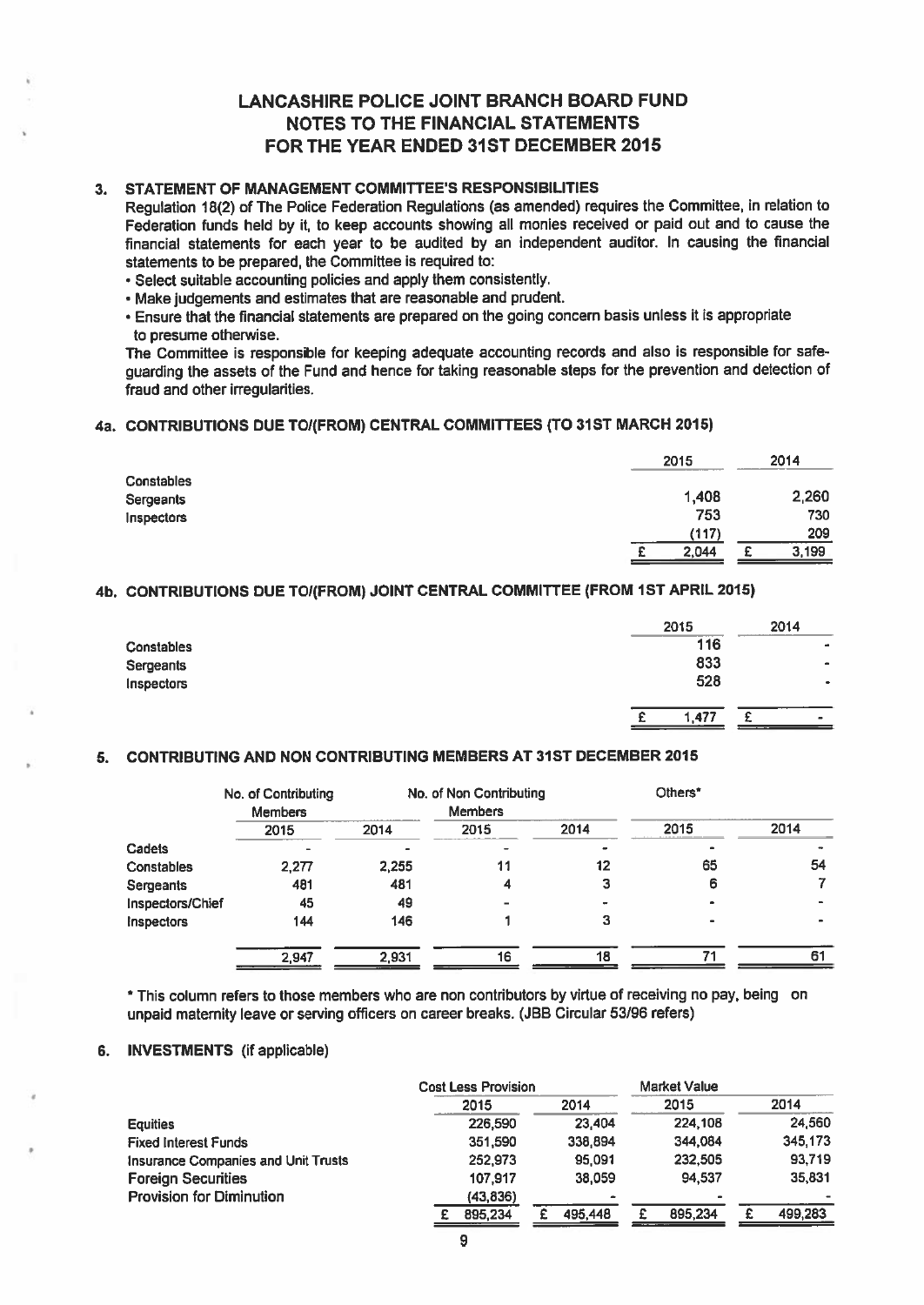## 3. STATEMENT OF MANAGEMENT COMMITTEE'S RESPONSIBILITIES

- Select suitable accounting policies and apply them consistently.
- Make judgements and estimates that are reasonable and prudent.
- Ensure that the financial statements are prepared on the going concern basis unless it is appropriate to presume otherwise.

## 4a. CONTRIBUTIONS DUE TOI(FROM) CENTRAL COMMITTEES (TO 31ST MARCH 2015)

|                                                                                                                                                                                                                                                                                                                                                                                                                                                                                                                                                                                                                                                                                                                                                                                                                                                                                                                                                                                         |      | <b>LANCASHIRE POLICE JOINT BRANCH BOARD FUND</b><br><b>NOTES TO THE FINANCIAL STATEMENTS</b><br>FOR THE YEAR ENDED 31ST DECEMBER 2015 |      |                      |   |                      |
|-----------------------------------------------------------------------------------------------------------------------------------------------------------------------------------------------------------------------------------------------------------------------------------------------------------------------------------------------------------------------------------------------------------------------------------------------------------------------------------------------------------------------------------------------------------------------------------------------------------------------------------------------------------------------------------------------------------------------------------------------------------------------------------------------------------------------------------------------------------------------------------------------------------------------------------------------------------------------------------------|------|---------------------------------------------------------------------------------------------------------------------------------------|------|----------------------|---|----------------------|
| STATEMENT OF MANAGEMENT COMMITTEE'S RESPONSIBILITIES<br>Regulation 18(2) of The Police Federation Regulations (as amended) requires the Committee, in relation to<br>Federation funds held by it, to keep accounts showing all monies received or paid out and to cause the<br>financial statements for each year to be audited by an independent auditor. In causing the financial<br>statements to be prepared, the Committee is required to:<br>. Select suitable accounting policies and apply them consistently.<br>. Make judgements and estimates that are reasonable and prudent.<br>. Ensure that the financial statements are prepared on the going concern basis unless it is appropriate<br>to presume otherwise.<br>The Committee is responsible for keeping adequate accounting records and also is responsible for safe-<br>guarding the assets of the Fund and hence for taking reasonable steps for the prevention and detection of<br>fraud and other irregularities. |      |                                                                                                                                       |      |                      |   |                      |
| <b>CONTRIBUTIONS DUE TO/(FROM) CENTRAL COMMITTEES (TO 31ST MARCH 2015)</b>                                                                                                                                                                                                                                                                                                                                                                                                                                                                                                                                                                                                                                                                                                                                                                                                                                                                                                              |      |                                                                                                                                       |      |                      |   |                      |
| <b>Constables</b><br>Sergeants<br>Inspectors                                                                                                                                                                                                                                                                                                                                                                                                                                                                                                                                                                                                                                                                                                                                                                                                                                                                                                                                            |      |                                                                                                                                       |      | 2015<br>1,408<br>753 |   | 2014<br>2,260<br>730 |
|                                                                                                                                                                                                                                                                                                                                                                                                                                                                                                                                                                                                                                                                                                                                                                                                                                                                                                                                                                                         |      |                                                                                                                                       |      | (117)<br>2,044<br>£  | £ | 209<br>3,199         |
| <b>CONTRIBUTIONS DUE TO/(FROM) JOINT CENTRAL COMMITTEE (FROM 1ST APRIL 2015)</b>                                                                                                                                                                                                                                                                                                                                                                                                                                                                                                                                                                                                                                                                                                                                                                                                                                                                                                        |      |                                                                                                                                       |      |                      |   |                      |
|                                                                                                                                                                                                                                                                                                                                                                                                                                                                                                                                                                                                                                                                                                                                                                                                                                                                                                                                                                                         |      |                                                                                                                                       |      | 2015                 |   | 2014                 |
| <b>Constables</b><br>Sergeants<br>Inspectors                                                                                                                                                                                                                                                                                                                                                                                                                                                                                                                                                                                                                                                                                                                                                                                                                                                                                                                                            |      |                                                                                                                                       |      | 116<br>833<br>528    |   |                      |
|                                                                                                                                                                                                                                                                                                                                                                                                                                                                                                                                                                                                                                                                                                                                                                                                                                                                                                                                                                                         |      |                                                                                                                                       |      | 1,477<br>£           | E |                      |
| <b>CONTRIBUTING AND NON CONTRIBUTING MEMBERS AT 31ST DECEMBER 2015</b>                                                                                                                                                                                                                                                                                                                                                                                                                                                                                                                                                                                                                                                                                                                                                                                                                                                                                                                  |      |                                                                                                                                       |      |                      |   |                      |
| No. of Contributing<br><b>Members</b>                                                                                                                                                                                                                                                                                                                                                                                                                                                                                                                                                                                                                                                                                                                                                                                                                                                                                                                                                   |      | No. of Non Contributing<br><b>Members</b>                                                                                             |      | Others*              |   |                      |
| 2015                                                                                                                                                                                                                                                                                                                                                                                                                                                                                                                                                                                                                                                                                                                                                                                                                                                                                                                                                                                    | 2014 | 2015                                                                                                                                  | 2014 | 2015                 |   | 2014                 |

## 4b. CONTRIBUTIONS DUE TO!(FROM) JOINT CENTRAL COMMITTEE (FROM 1ST APRIL 2015)

|                   | 2015  | 2014           |
|-------------------|-------|----------------|
| <b>Constables</b> | 116   | $\mathbf{m}$   |
| Sergeants         | 833   | $\blacksquare$ |
| Inspectors        | 528   | $\bullet$      |
|                   |       |                |
|                   | 1,477 | c<br>$\bullet$ |

## 5. CONTRIBUTING AND NON CONTRIBUTING MEMBERS AT 31ST DECEMBER 2015

|                  | No. of Contributing<br><b>Members</b> |       | No. of Non Contributing<br><b>Members</b> |      | Others* |      |
|------------------|---------------------------------------|-------|-------------------------------------------|------|---------|------|
|                  | 2015                                  | 2014  | 2015                                      | 2014 | 2015    | 2014 |
| Cadets           |                                       |       |                                           | ۰    |         |      |
| Constables       | 2,277                                 | 2.255 | 11                                        | 12   | 65      | 54   |
| <b>Sergeants</b> | 481                                   | 481   | 4                                         |      | 6       |      |
| Inspectors/Chief | 45                                    | 49    |                                           |      |         |      |
| Inspectors       | 144                                   | 146   |                                           | 3    |         |      |
|                  | 2,947                                 | 2,931 | 16                                        | 18   | 71      | 61   |

\* This column refers to those members who are non contributors by virtue of receiving no pay, being on unpaid maternity leave or serving officers on career breaks. (JBB Circular 53/96 refers)

## 6. INVESTMENTS (if applicable)

|                                            | <b>Cost Less Provision</b> |              | <b>Market Value</b> |              |
|--------------------------------------------|----------------------------|--------------|---------------------|--------------|
|                                            | 2015                       | 2014         | 2015                | 2014         |
| <b>Equities</b>                            | 226,590                    | 23,404       | 224,108             | 24,560       |
| <b>Fixed Interest Funds</b>                | 351,590                    | 338,894      | 344,084             | 345,173      |
| <b>Insurance Companies and Unit Trusts</b> | 252,973                    | 95,091       | 232.505             | 93.719       |
| <b>Foreign Securities</b>                  | 107.917                    | 38,059       | 94,537              | 35.831       |
| <b>Provision for Diminution</b>            | (43.836)                   | ٠            |                     |              |
|                                            | 895.234                    | 495.448<br>£ | 895.234             | 499,283<br>£ |